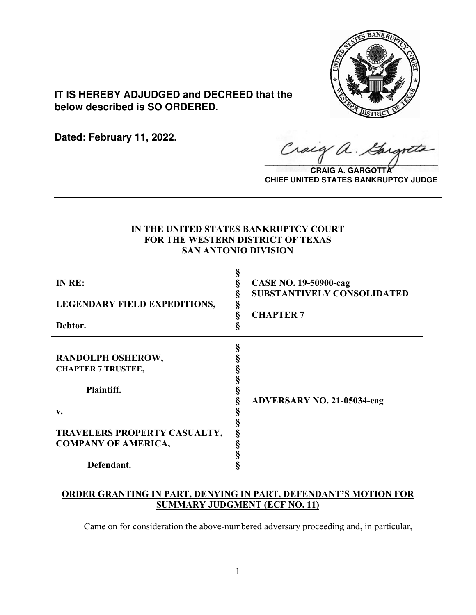

**IT IS HEREBY ADJUDGED and DECREED that the below described is SO ORDERED.**

**Dated: February 11, 2022.**

Craig a.

**CRAIG A. GARGOTTA CHIEF UNITED STATES BANKRUPTCY JUDGE**

# **IN THE UNITED STATES BANKRUPTCY COURT FOR THE WESTERN DISTRICT OF TEXAS SAN ANTONIO DIVISION**

**\_\_\_\_\_\_\_\_\_\_\_\_\_\_\_\_\_\_\_\_\_\_\_\_\_\_\_\_\_\_\_\_\_\_\_\_\_\_\_\_\_\_\_\_\_\_\_\_\_\_\_\_\_\_\_\_\_\_\_\_\_\_\_\_**

| IN RE:<br><b>LEGENDARY FIELD EXPEDITIONS,</b><br>Debtor.                                   | §<br>§<br>§ | <b>CASE NO. 19-50900-cag</b><br><b>SUBSTANTIVELY CONSOLIDATED</b><br><b>CHAPTER 7</b> |
|--------------------------------------------------------------------------------------------|-------------|---------------------------------------------------------------------------------------|
| RANDOLPH OSHEROW,<br><b>CHAPTER 7 TRUSTEE,</b><br>Plaintiff.                               | §           | <b>ADVERSARY NO. 21-05034-cag</b>                                                     |
| $\mathbf{v}$ .<br>TRAVELERS PROPERTY CASUALTY,<br><b>COMPANY OF AMERICA,</b><br>Defendant. |             |                                                                                       |

# **ORDER GRANTING IN PART, DENYING IN PART, DEFENDANT'S MOTION FOR SUMMARY JUDGMENT (ECF NO. 11)**

Came on for consideration the above-numbered adversary proceeding and, in particular,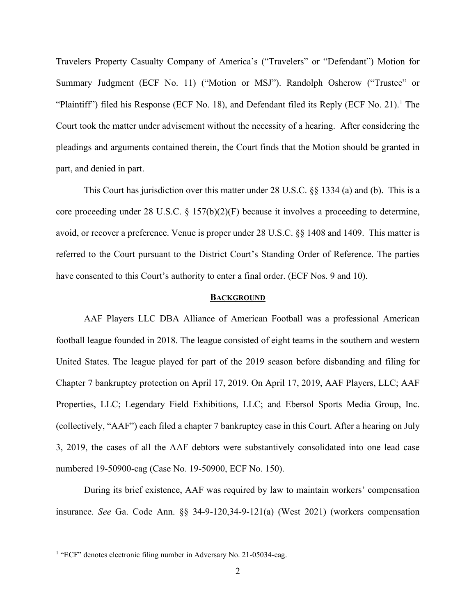Travelers Property Casualty Company of America's ("Travelers" or "Defendant") Motion for Summary Judgment (ECF No. 11) ("Motion or MSJ"). Randolph Osherow ("Trustee" or "Plaintiff") filed his Response (ECF No. [1](#page-1-0)8), and Defendant filed its Reply (ECF No. 21).<sup>1</sup> The Court took the matter under advisement without the necessity of a hearing. After considering the pleadings and arguments contained therein, the Court finds that the Motion should be granted in part, and denied in part.

This Court has jurisdiction over this matter under 28 U.S.C. §§ 1334 (a) and (b). This is a core proceeding under 28 U.S.C. § 157(b)(2)(F) because it involves a proceeding to determine, avoid, or recover a preference. Venue is proper under 28 U.S.C. §§ 1408 and 1409. This matter is referred to the Court pursuant to the District Court's Standing Order of Reference. The parties have consented to this Court's authority to enter a final order. (ECF Nos. 9 and 10).

#### **BACKGROUND**

AAF Players LLC DBA Alliance of American Football was a professional American football league founded in 2018. The league consisted of eight teams in the southern and western United States. The league played for part of the 2019 season before disbanding and filing for Chapter 7 bankruptcy protection on April 17, 2019. On April 17, 2019, AAF Players, LLC; AAF Properties, LLC; Legendary Field Exhibitions, LLC; and Ebersol Sports Media Group, Inc. (collectively, "AAF") each filed a chapter 7 bankruptcy case in this Court. After a hearing on July 3, 2019, the cases of all the AAF debtors were substantively consolidated into one lead case numbered 19-50900-cag (Case No. 19-50900, ECF No. 150).

During its brief existence, AAF was required by law to maintain workers' compensation insurance. *See* Ga. Code Ann. §§ 34-9-120,34-9-121(a) (West 2021) (workers compensation

<span id="page-1-0"></span><sup>&</sup>lt;sup>1</sup> "ECF" denotes electronic filing number in Adversary No. 21-05034-cag.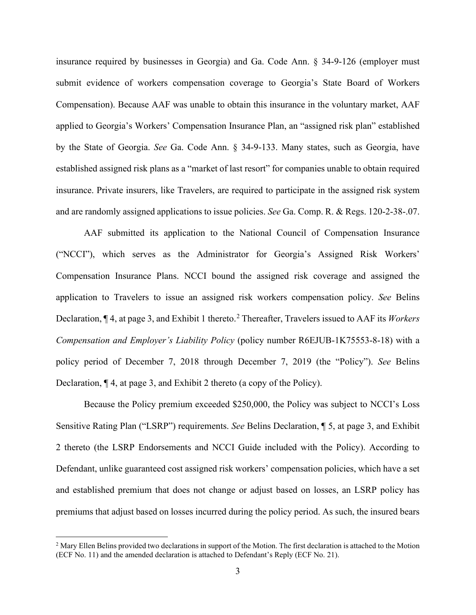insurance required by businesses in Georgia) and Ga. Code Ann. § 34-9-126 (employer must submit evidence of workers compensation coverage to Georgia's State Board of Workers Compensation). Because AAF was unable to obtain this insurance in the voluntary market, AAF applied to Georgia's Workers' Compensation Insurance Plan, an "assigned risk plan" established by the State of Georgia. *See* Ga. Code Ann. § 34-9-133. Many states, such as Georgia, have established assigned risk plans as a "market of last resort" for companies unable to obtain required insurance. Private insurers, like Travelers, are required to participate in the assigned risk system and are randomly assigned applications to issue policies. *See* Ga. Comp. R. & Regs. 120-2-38-.07.

AAF submitted its application to the National Council of Compensation Insurance ("NCCI"), which serves as the Administrator for Georgia's Assigned Risk Workers' Compensation Insurance Plans. NCCI bound the assigned risk coverage and assigned the application to Travelers to issue an assigned risk workers compensation policy. *See* Belins Declaration, ¶ 4, at page 3, and Exhibit 1 thereto. [2](#page-2-0) Thereafter, Travelers issued to AAF its *Workers Compensation and Employer's Liability Policy* (policy number R6EJUB-1K75553-8-18) with a policy period of December 7, 2018 through December 7, 2019 (the "Policy"). *See* Belins Declaration, ¶ 4, at page 3, and Exhibit 2 thereto (a copy of the Policy).

Because the Policy premium exceeded \$250,000, the Policy was subject to NCCI's Loss Sensitive Rating Plan ("LSRP") requirements. *See* Belins Declaration, ¶ 5, at page 3, and Exhibit 2 thereto (the LSRP Endorsements and NCCI Guide included with the Policy). According to Defendant, unlike guaranteed cost assigned risk workers' compensation policies, which have a set and established premium that does not change or adjust based on losses, an LSRP policy has premiums that adjust based on losses incurred during the policy period. As such, the insured bears

<span id="page-2-0"></span><sup>&</sup>lt;sup>2</sup> Mary Ellen Belins provided two declarations in support of the Motion. The first declaration is attached to the Motion (ECF No. 11) and the amended declaration is attached to Defendant's Reply (ECF No. 21).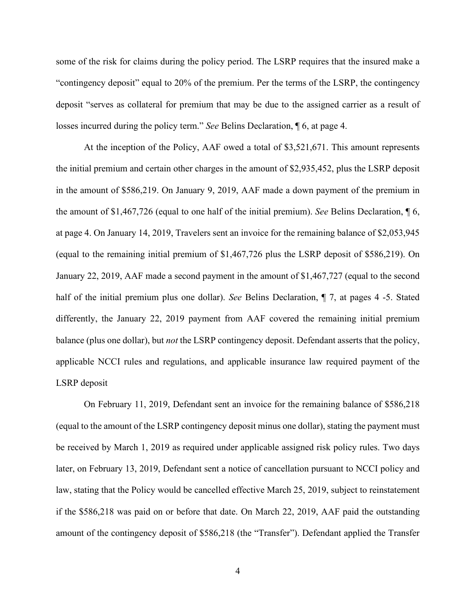some of the risk for claims during the policy period. The LSRP requires that the insured make a "contingency deposit" equal to 20% of the premium. Per the terms of the LSRP, the contingency deposit "serves as collateral for premium that may be due to the assigned carrier as a result of losses incurred during the policy term." *See* Belins Declaration, ¶ 6, at page 4.

At the inception of the Policy, AAF owed a total of \$3,521,671. This amount represents the initial premium and certain other charges in the amount of \$2,935,452, plus the LSRP deposit in the amount of \$586,219. On January 9, 2019, AAF made a down payment of the premium in the amount of \$1,467,726 (equal to one half of the initial premium). *See* Belins Declaration, ¶ 6, at page 4. On January 14, 2019, Travelers sent an invoice for the remaining balance of \$2,053,945 (equal to the remaining initial premium of \$1,467,726 plus the LSRP deposit of \$586,219). On January 22, 2019, AAF made a second payment in the amount of \$1,467,727 (equal to the second half of the initial premium plus one dollar). *See* Belins Declaration, ¶ 7, at pages 4 -5. Stated differently, the January 22, 2019 payment from AAF covered the remaining initial premium balance (plus one dollar), but *not* the LSRP contingency deposit. Defendant asserts that the policy, applicable NCCI rules and regulations, and applicable insurance law required payment of the LSRP deposit

On February 11, 2019, Defendant sent an invoice for the remaining balance of \$586,218 (equal to the amount of the LSRP contingency deposit minus one dollar), stating the payment must be received by March 1, 2019 as required under applicable assigned risk policy rules. Two days later, on February 13, 2019, Defendant sent a notice of cancellation pursuant to NCCI policy and law, stating that the Policy would be cancelled effective March 25, 2019, subject to reinstatement if the \$586,218 was paid on or before that date. On March 22, 2019, AAF paid the outstanding amount of the contingency deposit of \$586,218 (the "Transfer"). Defendant applied the Transfer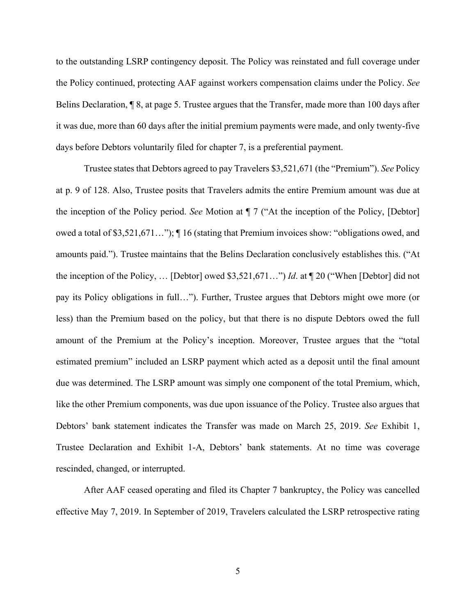to the outstanding LSRP contingency deposit. The Policy was reinstated and full coverage under the Policy continued, protecting AAF against workers compensation claims under the Policy. *See*  Belins Declaration, ¶ 8, at page 5. Trustee argues that the Transfer, made more than 100 days after it was due, more than 60 days after the initial premium payments were made, and only twenty-five days before Debtors voluntarily filed for chapter 7, is a preferential payment.

Trustee states that Debtors agreed to pay Travelers \$3,521,671 (the "Premium"). *See* Policy at p. 9 of 128. Also, Trustee posits that Travelers admits the entire Premium amount was due at the inception of the Policy period. *See* Motion at ¶ 7 ("At the inception of the Policy, [Debtor] owed a total of \$3,521,671…"); ¶ 16 (stating that Premium invoices show: "obligations owed, and amounts paid."). Trustee maintains that the Belins Declaration conclusively establishes this. ("At the inception of the Policy, … [Debtor] owed \$3,521,671…") *Id*. at ¶ 20 ("When [Debtor] did not pay its Policy obligations in full…"). Further, Trustee argues that Debtors might owe more (or less) than the Premium based on the policy, but that there is no dispute Debtors owed the full amount of the Premium at the Policy's inception. Moreover, Trustee argues that the "total estimated premium" included an LSRP payment which acted as a deposit until the final amount due was determined. The LSRP amount was simply one component of the total Premium, which, like the other Premium components, was due upon issuance of the Policy. Trustee also argues that Debtors' bank statement indicates the Transfer was made on March 25, 2019. *See* Exhibit 1, Trustee Declaration and Exhibit 1-A, Debtors' bank statements. At no time was coverage rescinded, changed, or interrupted.

After AAF ceased operating and filed its Chapter 7 bankruptcy, the Policy was cancelled effective May 7, 2019. In September of 2019, Travelers calculated the LSRP retrospective rating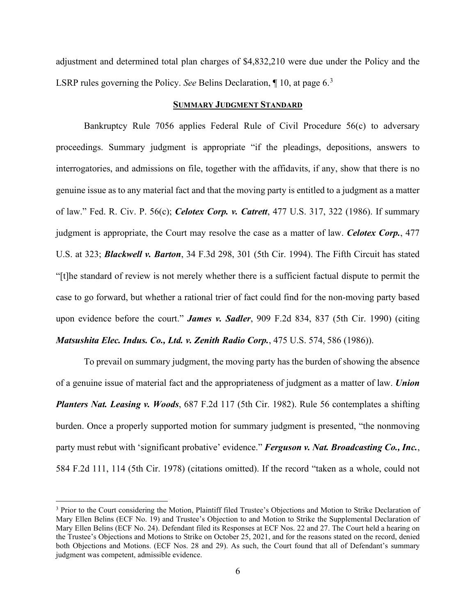adjustment and determined total plan charges of \$4,832,210 were due under the Policy and the LSRP rules governing the Policy. *See* Belins Declaration, 1, 10, at page 6.<sup>[3](#page-5-0)</sup>

#### **SUMMARY JUDGMENT STANDARD**

Bankruptcy Rule 7056 applies Federal Rule of Civil Procedure 56(c) to adversary proceedings. Summary judgment is appropriate "if the pleadings, depositions, answers to interrogatories, and admissions on file, together with the affidavits, if any, show that there is no genuine issue as to any material fact and that the moving party is entitled to a judgment as a matter of law." Fed. R. Civ. P. 56(c); *Celotex Corp. v. Catrett*, 477 U.S. 317, 322 (1986). If summary judgment is appropriate, the Court may resolve the case as a matter of law. *Celotex Corp.*, 477 U.S. at 323; *Blackwell v. Barton*, 34 F.3d 298, 301 (5th Cir. 1994). The Fifth Circuit has stated "[t]he standard of review is not merely whether there is a sufficient factual dispute to permit the case to go forward, but whether a rational trier of fact could find for the non-moving party based upon evidence before the court." *James v. Sadler*, 909 F.2d 834, 837 (5th Cir. 1990) (citing *Matsushita Elec. Indus. Co., Ltd. v. Zenith Radio Corp.*, 475 U.S. 574, 586 (1986)).

To prevail on summary judgment, the moving party has the burden of showing the absence of a genuine issue of material fact and the appropriateness of judgment as a matter of law. *Union Planters Nat. Leasing v. Woods*, 687 F.2d 117 (5th Cir. 1982). Rule 56 contemplates a shifting burden. Once a properly supported motion for summary judgment is presented, "the nonmoving party must rebut with 'significant probative' evidence." *Ferguson v. Nat. Broadcasting Co., Inc.*, 584 F.2d 111, 114 (5th Cir. 1978) (citations omitted). If the record "taken as a whole, could not

<span id="page-5-0"></span><sup>&</sup>lt;sup>3</sup> Prior to the Court considering the Motion, Plaintiff filed Trustee's Objections and Motion to Strike Declaration of Mary Ellen Belins (ECF No. 19) and Trustee's Objection to and Motion to Strike the Supplemental Declaration of Mary Ellen Belins (ECF No. 24). Defendant filed its Responses at ECF Nos. 22 and 27. The Court held a hearing on the Trustee's Objections and Motions to Strike on October 25, 2021, and for the reasons stated on the record, denied both Objections and Motions. (ECF Nos. 28 and 29). As such, the Court found that all of Defendant's summary judgment was competent, admissible evidence.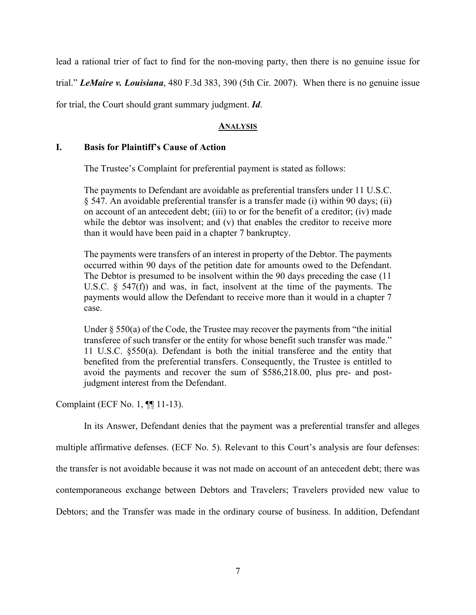lead a rational trier of fact to find for the non-moving party, then there is no genuine issue for trial." *LeMaire v. Louisiana*, 480 F.3d 383, 390 (5th Cir. 2007). When there is no genuine issue for trial, the Court should grant summary judgment. *Id*.

### **ANALYSIS**

### **I. Basis for Plaintiff's Cause of Action**

The Trustee's Complaint for preferential payment is stated as follows:

The payments to Defendant are avoidable as preferential transfers under 11 U.S.C. § 547. An avoidable preferential transfer is a transfer made (i) within 90 days; (ii) on account of an antecedent debt; (iii) to or for the benefit of a creditor; (iv) made while the debtor was insolvent; and (v) that enables the creditor to receive more than it would have been paid in a chapter 7 bankruptcy.

The payments were transfers of an interest in property of the Debtor. The payments occurred within 90 days of the petition date for amounts owed to the Defendant. The Debtor is presumed to be insolvent within the 90 days preceding the case (11 U.S.C.  $\S$  547(f)) and was, in fact, insolvent at the time of the payments. The payments would allow the Defendant to receive more than it would in a chapter 7 case.

Under  $\S 550(a)$  of the Code, the Trustee may recover the payments from "the initial transferee of such transfer or the entity for whose benefit such transfer was made." 11 U.S.C. §550(a). Defendant is both the initial transferee and the entity that benefited from the preferential transfers. Consequently, the Trustee is entitled to avoid the payments and recover the sum of \$586,218.00, plus pre- and postjudgment interest from the Defendant.

Complaint (ECF No. 1, ¶¶ 11-13).

In its Answer, Defendant denies that the payment was a preferential transfer and alleges

multiple affirmative defenses. (ECF No. 5). Relevant to this Court's analysis are four defenses: the transfer is not avoidable because it was not made on account of an antecedent debt; there was contemporaneous exchange between Debtors and Travelers; Travelers provided new value to Debtors; and the Transfer was made in the ordinary course of business. In addition, Defendant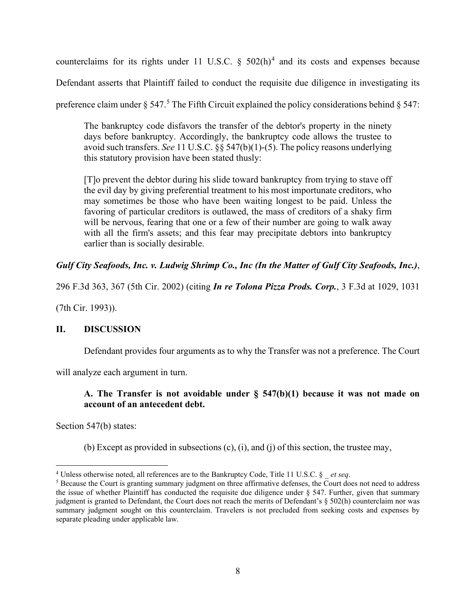counterclaims for its rights under 11 U.S.C.  $\frac{1}{2}$  502(h)<sup>[4](#page-7-0)</sup> and its costs and expenses because

Defendant asserts that Plaintiff failed to conduct the requisite due diligence in investigating its

preference claim under  $\S 547<sup>5</sup>$  $\S 547<sup>5</sup>$  $\S 547<sup>5</sup>$ . The Fifth Circuit explained the policy considerations behind  $\S 547$ :

The bankruptcy code disfavors the transfer of the debtor's property in the ninety days before bankruptcy. Accordingly, the bankruptcy code allows the trustee to avoid such transfers. *See* [11 U.S.C. §§ 547\(b\)\(1\)-](https://1.next.westlaw.com/Link/Document/FullText?findType=L&pubNum=1000546&cite=11USCAS547&originatingDoc=Ib6c0926079dc11d98c82a53fc8ac8757&refType=RB&originationContext=document&transitionType=DocumentItem&ppcid=4eb1c1e99d1e4730bd19d901b5bc7bcc&contextData=(sc.DocLink)#co_pp_3fed000053a85)(5). The policy reasons underlying this statutory provision have been stated thusly:

[T]o prevent the debtor during his slide toward bankruptcy from trying to stave off the evil day by giving preferential treatment to his most importunate creditors, who may sometimes be those who have been waiting longest to be paid. Unless the favoring of particular creditors is outlawed, the mass of creditors of a shaky firm will be nervous, fearing that one or a few of their number are going to walk away with all the firm's assets; and this fear may precipitate debtors into bankruptcy earlier than is socially desirable.

# *Gulf City Seafoods, Inc. v. Ludwig Shrimp Co., Inc (In the Matter of Gulf City Seafoods, Inc.)*,

296 F.3d 363, 367 (5th Cir. 2002) (citing *In re Tolona Pizza Prods. Corp.*, 3 F.3d at 1029, 1031

(7th Cir. 1993)).

## **II. DISCUSSION**

Defendant provides four arguments as to why the Transfer was not a preference. The Court

will analyze each argument in turn.

# **A. The Transfer is not avoidable under § 547(b)(1) because it was not made on account of an antecedent debt.**

Section 547(b) states:

(b) Except as provided in subsections (c), (i), and (j) of this section, the trustee may,

<span id="page-7-0"></span><sup>4</sup> Unless otherwise noted, all references are to the Bankruptcy Code, Title 11 U.S.C. § \_ *et seq*.

<span id="page-7-1"></span><sup>&</sup>lt;sup>5</sup> Because the Court is granting summary judgment on three affirmative defenses, the Court does not need to address the issue of whether Plaintiff has conducted the requisite due diligence under § 547. Further, given that summary judgment is granted to Defendant, the Court does not reach the merits of Defendant's § 502(h) counterclaim nor was summary judgment sought on this counterclaim. Travelers is not precluded from seeking costs and expenses by separate pleading under applicable law.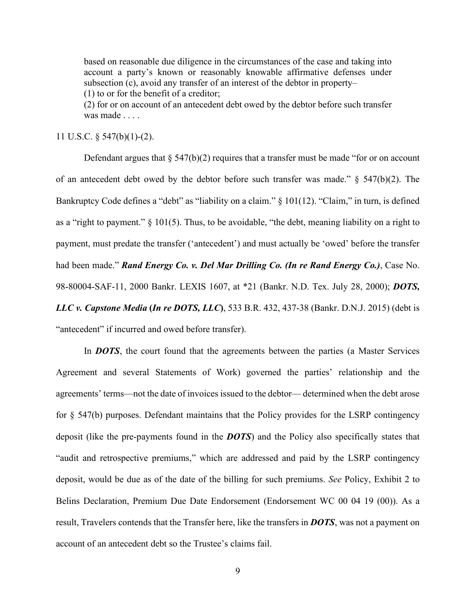based on reasonable due diligence in the circumstances of the case and taking into account a party's known or reasonably knowable affirmative defenses under subsection (c), avoid any transfer of an interest of the debtor in property– (1) to or for the benefit of a creditor; (2) for or on account of an antecedent debt owed by the debtor before such transfer was made . . . .

11 U.S.C. § 547(b)(1)-(2).

Defendant argues that  $\S$  547(b)(2) requires that a transfer must be made "for or on account of an antecedent debt owed by the debtor before such transfer was made." § 547(b)(2). The Bankruptcy Code defines a "debt" as "liability on a claim." § 101(12). "Claim," in turn, is defined as a "right to payment."  $\S$  101(5). Thus, to be avoidable, "the debt, meaning liability on a right to payment, must predate the transfer ('antecedent') and must actually be 'owed' before the transfer had been made." *Rand Energy Co. v. Del Mar Drilling Co. (In re Rand Energy Co.)*, Case No. 98-80004-SAF-11, 2000 Bankr. LEXIS 1607, at \*21 (Bankr. N.D. Tex. July 28, 2000); *DOTS, LLC v. Capstone Media* **(***In re DOTS, LLC***)**, 533 B.R. 432, 437-38 (Bankr. D.N.J. 2015) (debt is "antecedent" if incurred and owed before transfer).

In *DOTS*, the court found that the agreements between the parties (a Master Services Agreement and several Statements of Work) governed the parties' relationship and the agreements' terms—not the date of invoices issued to the debtor— determined when the debt arose for § 547(b) purposes. Defendant maintains that the Policy provides for the LSRP contingency deposit (like the pre-payments found in the *DOTS*) and the Policy also specifically states that "audit and retrospective premiums," which are addressed and paid by the LSRP contingency deposit, would be due as of the date of the billing for such premiums. *See* Policy, Exhibit 2 to Belins Declaration, Premium Due Date Endorsement (Endorsement WC 00 04 19 (00)). As a result, Travelers contends that the Transfer here, like the transfers in *DOTS*, was not a payment on account of an antecedent debt so the Trustee's claims fail.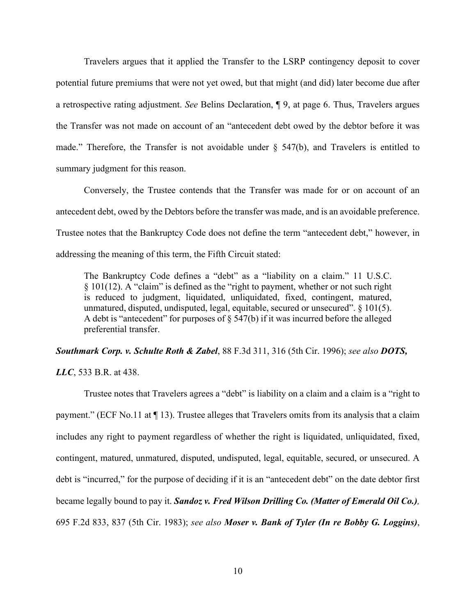Travelers argues that it applied the Transfer to the LSRP contingency deposit to cover potential future premiums that were not yet owed, but that might (and did) later become due after a retrospective rating adjustment. *See* Belins Declaration, ¶ 9, at page 6. Thus, Travelers argues the Transfer was not made on account of an "antecedent debt owed by the debtor before it was made." Therefore, the Transfer is not avoidable under  $\S$  547(b), and Travelers is entitled to summary judgment for this reason.

Conversely, the Trustee contends that the Transfer was made for or on account of an antecedent debt, owed by the Debtors before the transfer was made, and is an avoidable preference. Trustee notes that the Bankruptcy Code does not define the term "antecedent debt," however, in addressing the meaning of this term, the Fifth Circuit stated:

The Bankruptcy Code defines a "debt" as a "liability on a claim." 11 U.S.C. § 101(12). A "claim" is defined as the "right to payment, whether or not such right is reduced to judgment, liquidated, unliquidated, fixed, contingent, matured, unmatured, disputed, undisputed, legal, equitable, secured or unsecured".  $\S$  101(5). A debt is "antecedent" for purposes of § 547(b) if it was incurred before the alleged preferential transfer.

*Southmark Corp. v. Schulte Roth & Zabel*, 88 F.3d 311, 316 (5th Cir. 1996); *see also DOTS,* 

*LLC*, 533 B.R. at 438.

Trustee notes that Travelers agrees a "debt" is liability on a claim and a claim is a "right to payment." (ECF No.11 at  $\P$  13). Trustee alleges that Travelers omits from its analysis that a claim includes any right to payment regardless of whether the right is liquidated, unliquidated, fixed, contingent, matured, unmatured, disputed, undisputed, legal, equitable, secured, or unsecured. A debt is "incurred," for the purpose of deciding if it is an "antecedent debt" on the date debtor first became legally bound to pay it. *Sandoz v. Fred Wilson Drilling Co. (Matter of Emerald Oil Co.),*  695 F.2d 833, 837 (5th Cir. 1983); *see also Moser v. Bank of Tyler (In re Bobby G. Loggins)*,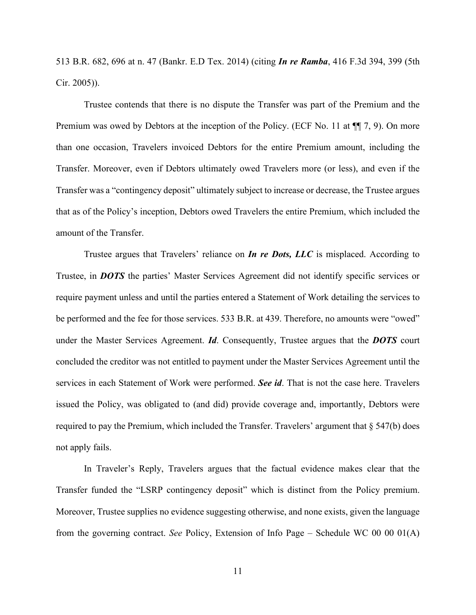513 B.R. 682, 696 at n. 47 (Bankr. E.D Tex. 2014) (citing *In re Ramba*, 416 F.3d 394, 399 (5th Cir. 2005)).

Trustee contends that there is no dispute the Transfer was part of the Premium and the Premium was owed by Debtors at the inception of the Policy. (ECF No. 11 at  $\P$ ] 7, 9). On more than one occasion, Travelers invoiced Debtors for the entire Premium amount, including the Transfer. Moreover, even if Debtors ultimately owed Travelers more (or less), and even if the Transfer was a "contingency deposit" ultimately subject to increase or decrease, the Trustee argues that as of the Policy's inception, Debtors owed Travelers the entire Premium, which included the amount of the Transfer.

Trustee argues that Travelers' reliance on *In re Dots, LLC* is misplaced. According to Trustee, in *DOTS* the parties' Master Services Agreement did not identify specific services or require payment unless and until the parties entered a Statement of Work detailing the services to be performed and the fee for those services. 533 B.R. at 439. Therefore, no amounts were "owed" under the Master Services Agreement. *Id*. Consequently, Trustee argues that the *DOTS* court concluded the creditor was not entitled to payment under the Master Services Agreement until the services in each Statement of Work were performed. *See id*. That is not the case here. Travelers issued the Policy, was obligated to (and did) provide coverage and, importantly, Debtors were required to pay the Premium, which included the Transfer. Travelers' argument that § 547(b) does not apply fails.

In Traveler's Reply, Travelers argues that the factual evidence makes clear that the Transfer funded the "LSRP contingency deposit" which is distinct from the Policy premium. Moreover, Trustee supplies no evidence suggesting otherwise, and none exists, given the language from the governing contract. *See* Policy, Extension of Info Page – Schedule WC 00 00 01(A)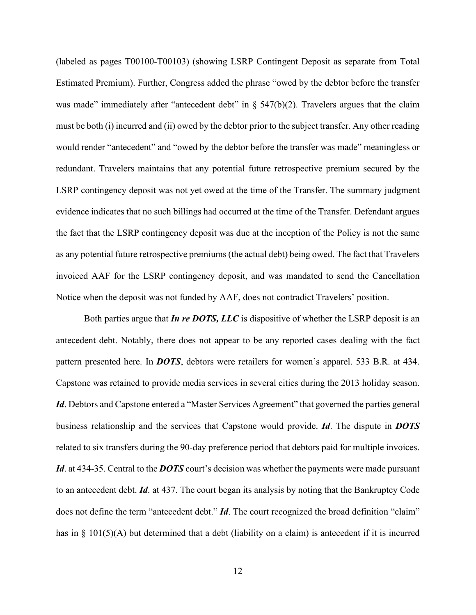(labeled as pages T00100-T00103) (showing LSRP Contingent Deposit as separate from Total Estimated Premium). Further, Congress added the phrase "owed by the debtor before the transfer was made" immediately after "antecedent debt" in  $\S$  547(b)(2). Travelers argues that the claim must be both (i) incurred and (ii) owed by the debtor prior to the subject transfer. Any other reading would render "antecedent" and "owed by the debtor before the transfer was made" meaningless or redundant. Travelers maintains that any potential future retrospective premium secured by the LSRP contingency deposit was not yet owed at the time of the Transfer. The summary judgment evidence indicates that no such billings had occurred at the time of the Transfer. Defendant argues the fact that the LSRP contingency deposit was due at the inception of the Policy is not the same as any potential future retrospective premiums (the actual debt) being owed. The fact that Travelers invoiced AAF for the LSRP contingency deposit, and was mandated to send the Cancellation Notice when the deposit was not funded by AAF, does not contradict Travelers' position.

Both parties argue that *In re DOTS, LLC* is dispositive of whether the LSRP deposit is an antecedent debt. Notably, there does not appear to be any reported cases dealing with the fact pattern presented here. In *DOTS*, debtors were retailers for women's apparel. 533 B.R. at 434. Capstone was retained to provide media services in several cities during the 2013 holiday season. *Id*. Debtors and Capstone entered a "Master Services Agreement" that governed the parties general business relationship and the services that Capstone would provide. *Id*. The dispute in *DOTS* related to six transfers during the 90-day preference period that debtors paid for multiple invoices. *Id*. at 434-35. Central to the *DOTS* court's decision was whether the payments were made pursuant to an antecedent debt. *Id*. at 437. The court began its analysis by noting that the Bankruptcy Code does not define the term "antecedent debt." *Id*. The court recognized the broad definition "claim" has in § 101(5)(A) but determined that a debt (liability on a claim) is antecedent if it is incurred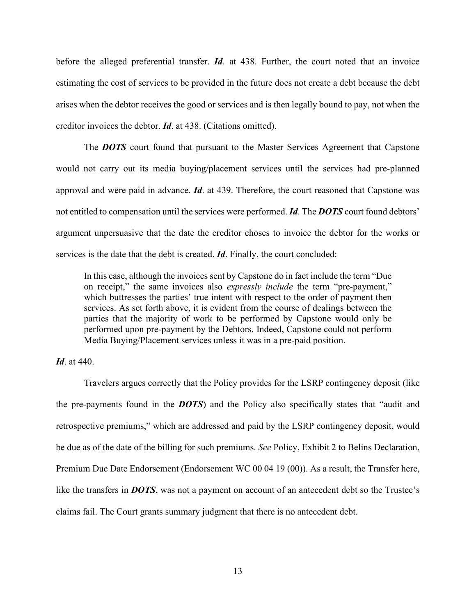before the alleged preferential transfer. *Id*. at 438. Further, the court noted that an invoice estimating the cost of services to be provided in the future does not create a debt because the debt arises when the debtor receives the good or services and is then legally bound to pay, not when the creditor invoices the debtor. *Id*. at 438. (Citations omitted).

The *DOTS* court found that pursuant to the Master Services Agreement that Capstone would not carry out its media buying/placement services until the services had pre-planned approval and were paid in advance. *Id*. at 439. Therefore, the court reasoned that Capstone was not entitled to compensation until the services were performed. *Id*. The *DOTS* court found debtors' argument unpersuasive that the date the creditor choses to invoice the debtor for the works or services is the date that the debt is created. *Id*. Finally, the court concluded:

In this case, although the invoices sent by Capstone do in fact include the term "Due on receipt," the same invoices also *expressly include* the term "pre-payment," which buttresses the parties' true intent with respect to the order of payment then services. As set forth above, it is evident from the course of dealings between the parties that the majority of work to be performed by Capstone would only be performed upon pre-payment by the Debtors. Indeed, Capstone could not perform Media Buying/Placement services unless it was in a pre-paid position.

#### *Id*. at 440.

Travelers argues correctly that the Policy provides for the LSRP contingency deposit (like the pre-payments found in the *DOTS*) and the Policy also specifically states that "audit and retrospective premiums," which are addressed and paid by the LSRP contingency deposit, would be due as of the date of the billing for such premiums. *See* Policy, Exhibit 2 to Belins Declaration, Premium Due Date Endorsement (Endorsement WC 00 04 19 (00)). As a result, the Transfer here, like the transfers in **DOTS**, was not a payment on account of an antecedent debt so the Trustee's claims fail. The Court grants summary judgment that there is no antecedent debt.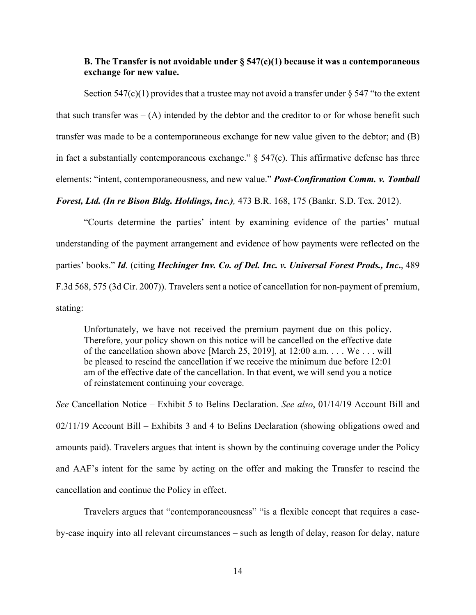## **B. The Transfer is not avoidable under § 547(c)(1) because it was a contemporaneous exchange for new value.**

Section 547(c)(1) provides that a trustee may not avoid a transfer under  $\S$  547 "to the extent that such transfer was  $-$  (A) intended by the debtor and the creditor to or for whose benefit such transfer was made to be a contemporaneous exchange for new value given to the debtor; and (B) in fact a substantially contemporaneous exchange."  $\S$  547(c). This affirmative defense has three elements: "intent, contemporaneousness, and new value." *Post-Confirmation Comm. v. Tomball* 

*Forest, Ltd. (In re Bison Bldg. Holdings, Inc.),* 473 B.R. 168, 175 (Bankr. S.D. Tex. 2012).

"Courts determine the parties' intent by examining evidence of the parties' mutual understanding of the payment arrangement and evidence of how payments were reflected on the parties' books." *Id.* (citing *Hechinger Inv. Co. of Del. Inc. v. Universal Forest Prods., Inc***.**, 489 F.3d 568, 575 (3d Cir. 2007)). Travelers sent a notice of cancellation for non-payment of premium, stating:

Unfortunately, we have not received the premium payment due on this policy. Therefore, your policy shown on this notice will be cancelled on the effective date of the cancellation shown above [March 25, 2019], at 12:00 a.m. . . . We . . . will be pleased to rescind the cancellation if we receive the minimum due before 12:01 am of the effective date of the cancellation. In that event, we will send you a notice of reinstatement continuing your coverage.

*See* Cancellation Notice – Exhibit 5 to Belins Declaration. *See also*, 01/14/19 Account Bill and 02/11/19 Account Bill – Exhibits 3 and 4 to Belins Declaration (showing obligations owed and amounts paid). Travelers argues that intent is shown by the continuing coverage under the Policy and AAF's intent for the same by acting on the offer and making the Transfer to rescind the cancellation and continue the Policy in effect.

Travelers argues that "contemporaneousness" "is a flexible concept that requires a caseby-case inquiry into all relevant circumstances – such as length of delay, reason for delay, nature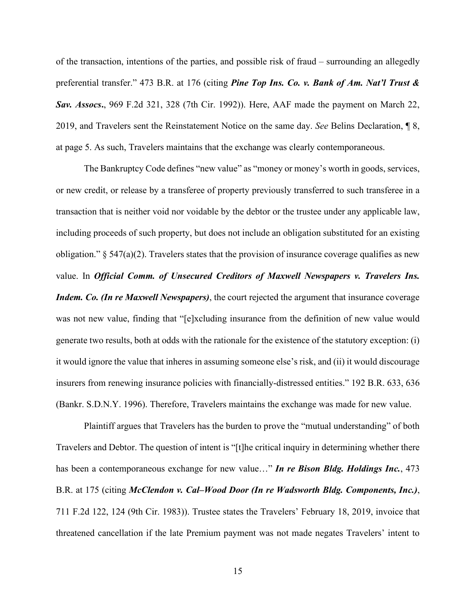of the transaction, intentions of the parties, and possible risk of fraud – surrounding an allegedly preferential transfer." 473 B.R. at 176 (citing *Pine Top Ins. Co. v. Bank of Am. Nat'l Trust & Sav. Assocs***.**, 969 F.2d 321, 328 (7th Cir. 1992)). Here, AAF made the payment on March 22, 2019, and Travelers sent the Reinstatement Notice on the same day. *See* Belins Declaration, ¶ 8, at page 5. As such, Travelers maintains that the exchange was clearly contemporaneous.

The Bankruptcy Code defines "new value" as "money or money's worth in goods, services, or new credit, or release by a transferee of property previously transferred to such transferee in a transaction that is neither void nor voidable by the debtor or the trustee under any applicable law, including proceeds of such property, but does not include an obligation substituted for an existing obligation."  $\S$  547(a)(2). Travelers states that the provision of insurance coverage qualifies as new value. In *Official Comm. of Unsecured Creditors of Maxwell Newspapers v. Travelers Ins. Indem. Co. (In re Maxwell Newspapers)*, the court rejected the argument that insurance coverage was not new value, finding that "[e]xcluding insurance from the definition of new value would generate two results, both at odds with the rationale for the existence of the statutory exception: (i) it would ignore the value that inheres in assuming someone else's risk, and (ii) it would discourage insurers from renewing insurance policies with financially-distressed entities." 192 B.R. 633, 636 (Bankr. S.D.N.Y. 1996). Therefore, Travelers maintains the exchange was made for new value.

Plaintiff argues that Travelers has the burden to prove the "mutual understanding" of both Travelers and Debtor. The question of intent is "[t]he critical inquiry in determining whether there has been a contemporaneous exchange for new value…" *In re Bison Bldg. Holdings Inc.*, 473 B.R. at 175 (citing *McClendon v. Cal–Wood Door (In re Wadsworth Bldg. Components, Inc.)*, 711 F.2d 122, 124 (9th Cir. 1983)). Trustee states the Travelers' February 18, 2019, invoice that threatened cancellation if the late Premium payment was not made negates Travelers' intent to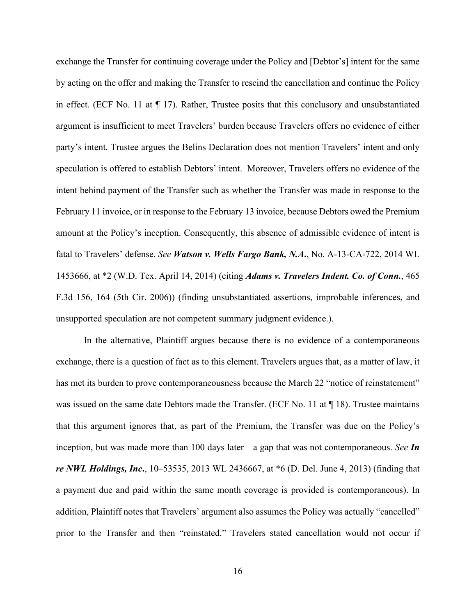exchange the Transfer for continuing coverage under the Policy and [Debtor's] intent for the same by acting on the offer and making the Transfer to rescind the cancellation and continue the Policy in effect. (ECF No. 11 at ¶ 17). Rather, Trustee posits that this conclusory and unsubstantiated argument is insufficient to meet Travelers' burden because Travelers offers no evidence of either party's intent. Trustee argues the Belins Declaration does not mention Travelers' intent and only speculation is offered to establish Debtors' intent. Moreover, Travelers offers no evidence of the intent behind payment of the Transfer such as whether the Transfer was made in response to the February 11 invoice, or in response to the February 13 invoice, because Debtors owed the Premium amount at the Policy's inception. Consequently, this absence of admissible evidence of intent is fatal to Travelers' defense. *See Watson v. Wells Fargo Bank, N.A***.**, No. A-13-CA-722, 2014 WL 1453666, at \*2 (W.D. Tex. April 14, 2014) (citing *Adams v. Travelers Indent. Co. of Conn.*, 465 F.3d 156, 164 (5th Cir. 2006)) (finding unsubstantiated assertions, improbable inferences, and unsupported speculation are not competent summary judgment evidence.).

In the alternative, Plaintiff argues because there is no evidence of a contemporaneous exchange, there is a question of fact as to this element. Travelers argues that, as a matter of law, it has met its burden to prove contemporaneousness because the March 22 "notice of reinstatement" was issued on the same date Debtors made the Transfer. (ECF No. 11 at ¶ 18). Trustee maintains that this argument ignores that, as part of the Premium, the Transfer was due on the Policy's inception, but was made more than 100 days later—a gap that was not contemporaneous. *See In re NWL Holdings, Inc***.**, 10–53535, 2013 WL 2436667, at \*6 (D. Del. June 4, 2013) (finding that a payment due and paid within the same month coverage is provided is contemporaneous). In addition, Plaintiff notes that Travelers' argument also assumes the Policy was actually "cancelled" prior to the Transfer and then "reinstated." Travelers stated cancellation would not occur if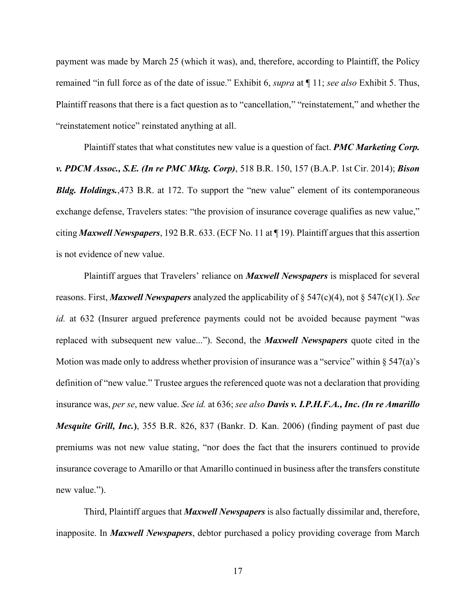payment was made by March 25 (which it was), and, therefore, according to Plaintiff, the Policy remained "in full force as of the date of issue." Exhibit 6, *supra* at ¶ 11; *see also* Exhibit 5. Thus, Plaintiff reasons that there is a fact question as to "cancellation," "reinstatement," and whether the "reinstatement notice" reinstated anything at all.

Plaintiff states that what constitutes new value is a question of fact. *PMC Marketing Corp. v. PDCM Assoc., S.E. (In re PMC Mktg. Corp)*, 518 B.R. 150, 157 (B.A.P. 1st Cir. 2014); *Bison Bldg. Holdings.*,473 B.R. at 172. To support the "new value" element of its contemporaneous exchange defense, Travelers states: "the provision of insurance coverage qualifies as new value," citing *Maxwell Newspapers*, 192 B.R. 633. (ECF No. 11 at ¶ 19). Plaintiff argues that this assertion is not evidence of new value.

Plaintiff argues that Travelers' reliance on *Maxwell Newspapers* is misplaced for several reasons. First, *Maxwell Newspapers* analyzed the applicability of § 547(c)(4), not § 547(c)(1). *See id.* at 632 (Insurer argued preference payments could not be avoided because payment "was replaced with subsequent new value..."). Second, the *Maxwell Newspapers* quote cited in the Motion was made only to address whether provision of insurance was a "service" within  $\S 547(a)$ 's definition of "new value." Trustee argues the referenced quote was not a declaration that providing insurance was, *per se*, new value. *See id.* at 636; *see also Davis v. I.P.H.F.A., Inc***.** *(In re Amarillo Mesquite Grill, Inc.***)**, 355 B.R. 826, 837 (Bankr. D. Kan. 2006) (finding payment of past due premiums was not new value stating, "nor does the fact that the insurers continued to provide insurance coverage to Amarillo or that Amarillo continued in business after the transfers constitute new value.").

Third, Plaintiff argues that *Maxwell Newspapers* is also factually dissimilar and, therefore, inapposite. In *Maxwell Newspapers*, debtor purchased a policy providing coverage from March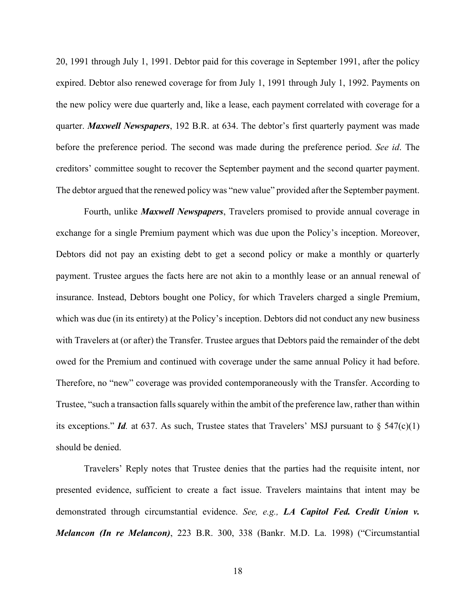20, 1991 through July 1, 1991. Debtor paid for this coverage in September 1991, after the policy expired. Debtor also renewed coverage for from July 1, 1991 through July 1, 1992. Payments on the new policy were due quarterly and, like a lease, each payment correlated with coverage for a quarter. *Maxwell Newspapers*, 192 B.R. at 634. The debtor's first quarterly payment was made before the preference period. The second was made during the preference period. *See id*. The creditors' committee sought to recover the September payment and the second quarter payment. The debtor argued that the renewed policy was "new value" provided after the September payment.

Fourth, unlike *Maxwell Newspapers*, Travelers promised to provide annual coverage in exchange for a single Premium payment which was due upon the Policy's inception. Moreover, Debtors did not pay an existing debt to get a second policy or make a monthly or quarterly payment. Trustee argues the facts here are not akin to a monthly lease or an annual renewal of insurance. Instead, Debtors bought one Policy, for which Travelers charged a single Premium, which was due (in its entirety) at the Policy's inception. Debtors did not conduct any new business with Travelers at (or after) the Transfer. Trustee argues that Debtors paid the remainder of the debt owed for the Premium and continued with coverage under the same annual Policy it had before. Therefore, no "new" coverage was provided contemporaneously with the Transfer. According to Trustee, "such a transaction falls squarely within the ambit of the preference law, rather than within its exceptions." *Id.* at 637. As such, Trustee states that Travelers' MSJ pursuant to  $\S$  547(c)(1) should be denied.

Travelers' Reply notes that Trustee denies that the parties had the requisite intent, nor presented evidence, sufficient to create a fact issue. Travelers maintains that intent may be demonstrated through circumstantial evidence. *See, e.g., LA Capitol Fed. Credit Union v. Melancon (In re Melancon)*, 223 B.R. 300, 338 (Bankr. M.D. La. 1998) ("Circumstantial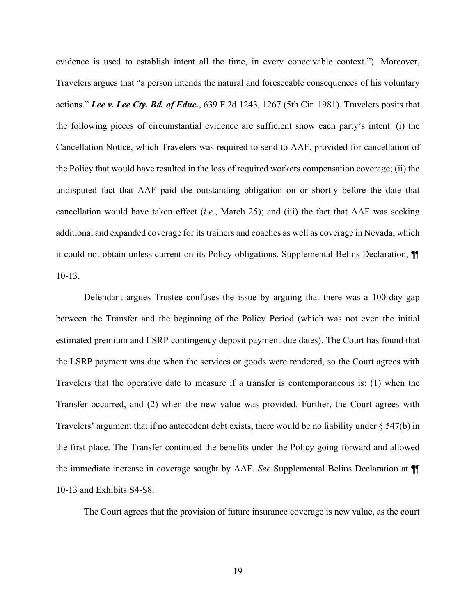evidence is used to establish intent all the time, in every conceivable context."). Moreover, Travelers argues that "a person intends the natural and foreseeable consequences of his voluntary actions." *Lee v. Lee Cty. Bd. of Educ.*, 639 F.2d 1243, 1267 (5th Cir. 1981). Travelers posits that the following pieces of circumstantial evidence are sufficient show each party's intent: (i) the Cancellation Notice, which Travelers was required to send to AAF, provided for cancellation of the Policy that would have resulted in the loss of required workers compensation coverage; (ii) the undisputed fact that AAF paid the outstanding obligation on or shortly before the date that cancellation would have taken effect (*i.e.*, March 25); and (iii) the fact that AAF was seeking additional and expanded coverage for itstrainers and coaches as well as coverage in Nevada, which it could not obtain unless current on its Policy obligations. Supplemental Belins Declaration, ¶¶ 10-13.

Defendant argues Trustee confuses the issue by arguing that there was a 100-day gap between the Transfer and the beginning of the Policy Period (which was not even the initial estimated premium and LSRP contingency deposit payment due dates). The Court has found that the LSRP payment was due when the services or goods were rendered, so the Court agrees with Travelers that the operative date to measure if a transfer is contemporaneous is: (1) when the Transfer occurred, and (2) when the new value was provided*.* Further, the Court agrees with Travelers' argument that if no antecedent debt exists, there would be no liability under § 547(b) in the first place. The Transfer continued the benefits under the Policy going forward and allowed the immediate increase in coverage sought by AAF. *See* Supplemental Belins Declaration at ¶¶ 10-13 and Exhibits S4-S8.

The Court agrees that the provision of future insurance coverage is new value, as the court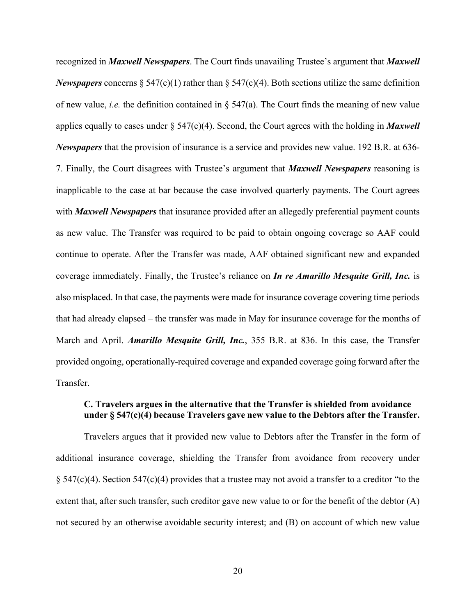recognized in *Maxwell Newspapers*. The Court finds unavailing Trustee's argument that *Maxwell Newspapers* concerns  $\S$  547(c)(1) rather than  $\S$  547(c)(4). Both sections utilize the same definition of new value, *i.e.* the definition contained in § 547(a). The Court finds the meaning of new value applies equally to cases under § 547(c)(4). Second, the Court agrees with the holding in *Maxwell Newspapers* that the provision of insurance is a service and provides new value. 192 B.R. at 636- 7. Finally, the Court disagrees with Trustee's argument that *Maxwell Newspapers* reasoning is inapplicable to the case at bar because the case involved quarterly payments. The Court agrees with *Maxwell Newspapers* that insurance provided after an allegedly preferential payment counts as new value. The Transfer was required to be paid to obtain ongoing coverage so AAF could continue to operate. After the Transfer was made, AAF obtained significant new and expanded coverage immediately. Finally, the Trustee's reliance on *In re Amarillo Mesquite Grill, Inc.* is also misplaced. In that case, the payments were made for insurance coverage covering time periods that had already elapsed – the transfer was made in May for insurance coverage for the months of March and April. *Amarillo Mesquite Grill, Inc.*, 355 B.R. at 836. In this case, the Transfer provided ongoing, operationally-required coverage and expanded coverage going forward after the Transfer.

## **C. Travelers argues in the alternative that the Transfer is shielded from avoidance under § 547(c)(4) because Travelers gave new value to the Debtors after the Transfer.**

Travelers argues that it provided new value to Debtors after the Transfer in the form of additional insurance coverage, shielding the Transfer from avoidance from recovery under § 547(c)(4). Section 547(c)(4) provides that a trustee may not avoid a transfer to a creditor "to the extent that, after such transfer, such creditor gave new value to or for the benefit of the debtor (A) not secured by an otherwise avoidable security interest; and (B) on account of which new value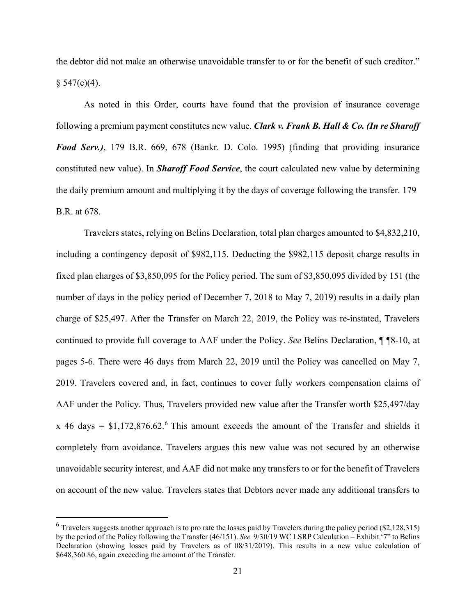the debtor did not make an otherwise unavoidable transfer to or for the benefit of such creditor."  $§ 547(c)(4).$ 

As noted in this Order, courts have found that the provision of insurance coverage following a premium payment constitutes new value. *Clark v. Frank B. Hall & Co. (In re Sharoff Food Serv.)*, 179 B.R. 669, 678 (Bankr. D. Colo. 1995) (finding that providing insurance constituted new value). In *Sharoff Food Service*, the court calculated new value by determining the daily premium amount and multiplying it by the days of coverage following the transfer. 179 B.R. at 678.

Travelers states, relying on Belins Declaration, total plan charges amounted to \$4,832,210, including a contingency deposit of \$982,115. Deducting the \$982,115 deposit charge results in fixed plan charges of \$3,850,095 for the Policy period. The sum of \$3,850,095 divided by 151 (the number of days in the policy period of December 7, 2018 to May 7, 2019) results in a daily plan charge of \$25,497. After the Transfer on March 22, 2019, the Policy was re-instated, Travelers continued to provide full coverage to AAF under the Policy. *See* Belins Declaration, ¶ ¶8-10, at pages 5-6. There were 46 days from March 22, 2019 until the Policy was cancelled on May 7, 2019. Travelers covered and, in fact, continues to cover fully workers compensation claims of AAF under the Policy. Thus, Travelers provided new value after the Transfer worth \$25,497/day x 4[6](#page-20-0) days =  $$1,172,876.62$ <sup>6</sup> This amount exceeds the amount of the Transfer and shields it completely from avoidance. Travelers argues this new value was not secured by an otherwise unavoidable security interest, and AAF did not make any transfers to or for the benefit of Travelers on account of the new value. Travelers states that Debtors never made any additional transfers to

<span id="page-20-0"></span> $6$  Travelers suggests another approach is to pro rate the losses paid by Travelers during the policy period (\$2,128,315) by the period of the Policy following the Transfer (46/151). *See* 9/30/19 WC LSRP Calculation – Exhibit '7" to Belins Declaration (showing losses paid by Travelers as of 08/31/2019). This results in a new value calculation of \$648,360.86, again exceeding the amount of the Transfer.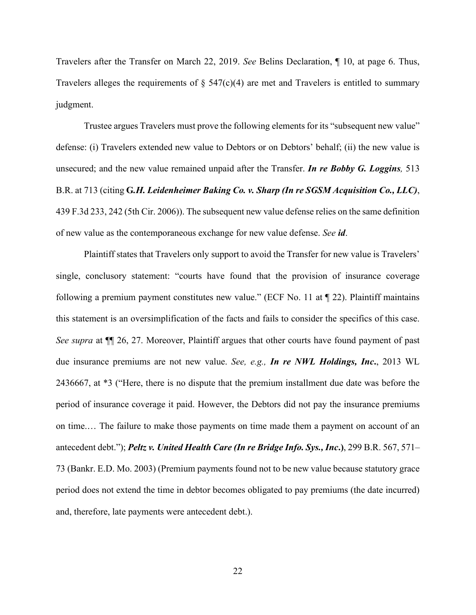Travelers after the Transfer on March 22, 2019. *See* Belins Declaration, ¶ 10, at page 6. Thus, Travelers alleges the requirements of  $\S$  547(c)(4) are met and Travelers is entitled to summary judgment.

Trustee argues Travelers must prove the following elements for its "subsequent new value" defense: (i) Travelers extended new value to Debtors or on Debtors' behalf; (ii) the new value is unsecured; and the new value remained unpaid after the Transfer. *In re Bobby G. Loggins,* 513 B.R. at 713 (citing **G***.H. Leidenheimer Baking Co. v. Sharp (In re SGSM Acquisition Co., LLC)*, 439 F.3d 233, 242 (5th Cir. 2006)). The subsequent new value defense relies on the same definition of new value as the contemporaneous exchange for new value defense. *See id*.

Plaintiff states that Travelers only support to avoid the Transfer for new value is Travelers' single, conclusory statement: "courts have found that the provision of insurance coverage following a premium payment constitutes new value." (ECF No. 11 at  $\P$  22). Plaintiff maintains this statement is an oversimplification of the facts and fails to consider the specifics of this case. *See supra* at ¶¶ 26, 27. Moreover, Plaintiff argues that other courts have found payment of past due insurance premiums are not new value. *See, e.g., In re NWL Holdings, Inc***.**, 2013 WL 2436667, at \*3 ("Here, there is no dispute that the premium installment due date was before the period of insurance coverage it paid. However, the Debtors did not pay the insurance premiums on time.… The failure to make those payments on time made them a payment on account of an antecedent debt."); *Peltz v. United Health Care (In re Bridge Info. Sys., Inc***.)**, 299 B.R. 567, 571– 73 (Bankr. E.D. Mo. 2003) (Premium payments found not to be new value because statutory grace period does not extend the time in debtor becomes obligated to pay premiums (the date incurred) and, therefore, late payments were antecedent debt.).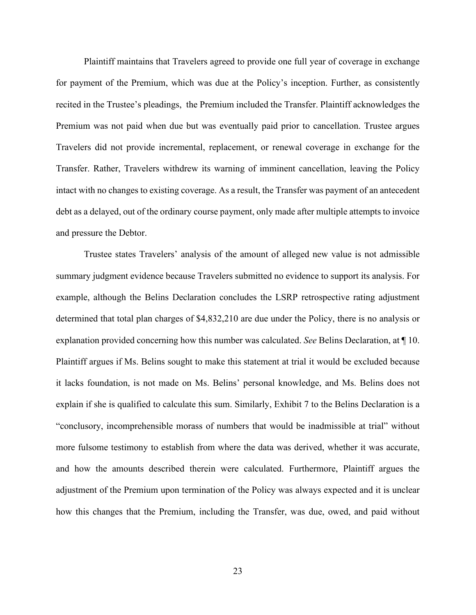Plaintiff maintains that Travelers agreed to provide one full year of coverage in exchange for payment of the Premium, which was due at the Policy's inception. Further, as consistently recited in the Trustee's pleadings, the Premium included the Transfer. Plaintiff acknowledges the Premium was not paid when due but was eventually paid prior to cancellation. Trustee argues Travelers did not provide incremental, replacement, or renewal coverage in exchange for the Transfer. Rather, Travelers withdrew its warning of imminent cancellation, leaving the Policy intact with no changes to existing coverage. As a result, the Transfer was payment of an antecedent debt as a delayed, out of the ordinary course payment, only made after multiple attempts to invoice and pressure the Debtor.

Trustee states Travelers' analysis of the amount of alleged new value is not admissible summary judgment evidence because Travelers submitted no evidence to support its analysis. For example, although the Belins Declaration concludes the LSRP retrospective rating adjustment determined that total plan charges of \$4,832,210 are due under the Policy, there is no analysis or explanation provided concerning how this number was calculated. *See* Belins Declaration, at ¶ 10. Plaintiff argues if Ms. Belins sought to make this statement at trial it would be excluded because it lacks foundation, is not made on Ms. Belins' personal knowledge, and Ms. Belins does not explain if she is qualified to calculate this sum. Similarly, Exhibit 7 to the Belins Declaration is a "conclusory, incomprehensible morass of numbers that would be inadmissible at trial" without more fulsome testimony to establish from where the data was derived, whether it was accurate, and how the amounts described therein were calculated. Furthermore, Plaintiff argues the adjustment of the Premium upon termination of the Policy was always expected and it is unclear how this changes that the Premium, including the Transfer, was due, owed, and paid without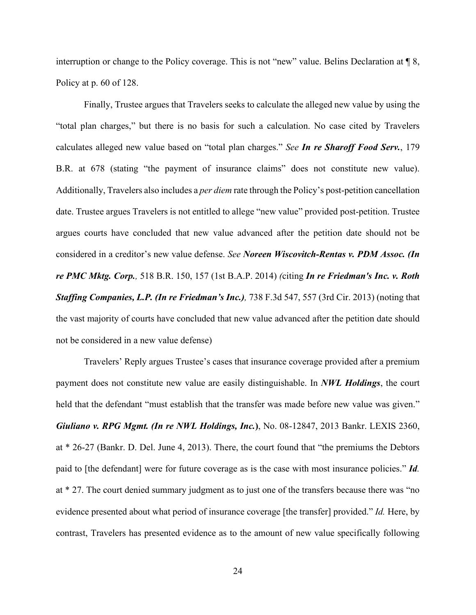interruption or change to the Policy coverage. This is not "new" value. Belins Declaration at ¶ 8, Policy at p. 60 of 128.

Finally, Trustee argues that Travelers seeks to calculate the alleged new value by using the "total plan charges," but there is no basis for such a calculation. No case cited by Travelers calculates alleged new value based on "total plan charges." *See In re Sharoff Food Serv.*, 179 B.R. at 678 (stating "the payment of insurance claims" does not constitute new value). Additionally, Travelers also includes a *per diem* rate through the Policy's post-petition cancellation date. Trustee argues Travelers is not entitled to allege "new value" provided post-petition. Trustee argues courts have concluded that new value advanced after the petition date should not be considered in a creditor's new value defense. *See Noreen Wiscovitch-Rentas v. PDM Assoc. (In re PMC Mktg. Corp.,* 518 B.R. 150, 157 (1st B.A.P. 2014) *(*citing *In re Friedman's Inc. v. Roth Staffing Companies, L.P. (In re Friedman's Inc.),* 738 F.3d 547, 557 (3rd Cir. 2013) (noting that the vast majority of courts have concluded that new value advanced after the petition date should not be considered in a new value defense)

Travelers' Reply argues Trustee's cases that insurance coverage provided after a premium payment does not constitute new value are easily distinguishable. In *NWL Holdings*, the court held that the defendant "must establish that the transfer was made before new value was given." *Giuliano v. RPG Mgmt. (In re NWL Holdings, Inc.***)**, No. 08-12847, 2013 Bankr. LEXIS 2360, at \* 26-27 (Bankr. D. Del. June 4, 2013). There, the court found that "the premiums the Debtors paid to [the defendant] were for future coverage as is the case with most insurance policies." *Id.*  at \* 27. The court denied summary judgment as to just one of the transfers because there was "no evidence presented about what period of insurance coverage [the transfer] provided." *Id.* Here, by contrast, Travelers has presented evidence as to the amount of new value specifically following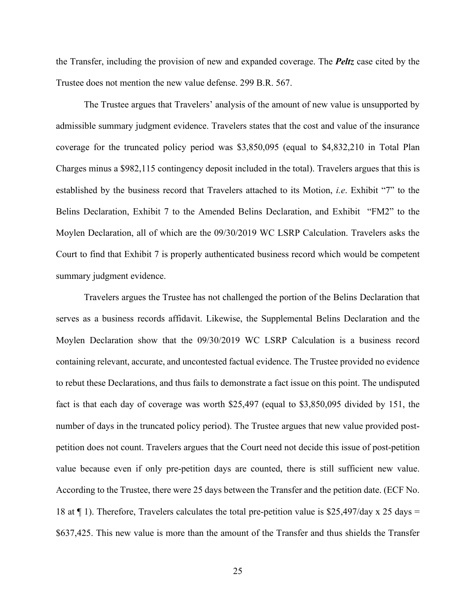the Transfer, including the provision of new and expanded coverage. The *Peltz* case cited by the Trustee does not mention the new value defense. 299 B.R. 567.

The Trustee argues that Travelers' analysis of the amount of new value is unsupported by admissible summary judgment evidence. Travelers states that the cost and value of the insurance coverage for the truncated policy period was \$3,850,095 (equal to \$4,832,210 in Total Plan Charges minus a \$982,115 contingency deposit included in the total). Travelers argues that this is established by the business record that Travelers attached to its Motion, *i.e*. Exhibit "7" to the Belins Declaration, Exhibit 7 to the Amended Belins Declaration, and Exhibit "FM2" to the Moylen Declaration, all of which are the 09/30/2019 WC LSRP Calculation. Travelers asks the Court to find that Exhibit 7 is properly authenticated business record which would be competent summary judgment evidence.

Travelers argues the Trustee has not challenged the portion of the Belins Declaration that serves as a business records affidavit. Likewise, the Supplemental Belins Declaration and the Moylen Declaration show that the 09/30/2019 WC LSRP Calculation is a business record containing relevant, accurate, and uncontested factual evidence. The Trustee provided no evidence to rebut these Declarations, and thus fails to demonstrate a fact issue on this point. The undisputed fact is that each day of coverage was worth \$25,497 (equal to \$3,850,095 divided by 151, the number of days in the truncated policy period). The Trustee argues that new value provided postpetition does not count. Travelers argues that the Court need not decide this issue of post-petition value because even if only pre-petition days are counted, there is still sufficient new value. According to the Trustee, there were 25 days between the Transfer and the petition date. (ECF No. 18 at  $\P$  1). Therefore, Travelers calculates the total pre-petition value is \$25,497/day x 25 days = \$637,425. This new value is more than the amount of the Transfer and thus shields the Transfer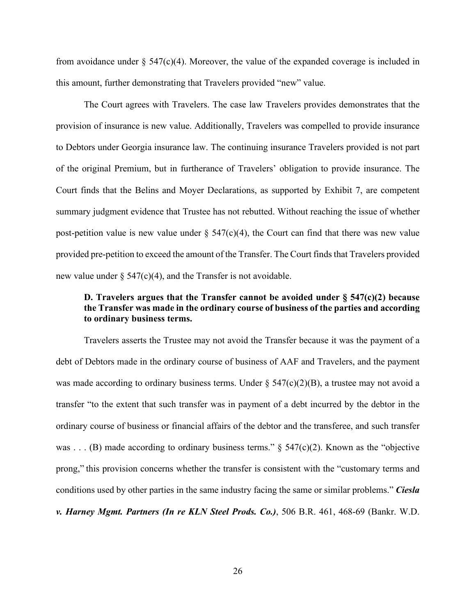from avoidance under  $\S$  547(c)(4). Moreover, the value of the expanded coverage is included in this amount, further demonstrating that Travelers provided "new" value.

The Court agrees with Travelers. The case law Travelers provides demonstrates that the provision of insurance is new value. Additionally, Travelers was compelled to provide insurance to Debtors under Georgia insurance law. The continuing insurance Travelers provided is not part of the original Premium, but in furtherance of Travelers' obligation to provide insurance. The Court finds that the Belins and Moyer Declarations, as supported by Exhibit 7, are competent summary judgment evidence that Trustee has not rebutted. Without reaching the issue of whether post-petition value is new value under  $\S$  547(c)(4), the Court can find that there was new value provided pre-petition to exceed the amount of the Transfer. The Court finds that Travelers provided new value under  $\S$  547(c)(4), and the Transfer is not avoidable.

# **D. Travelers argues that the Transfer cannot be avoided under § 547(c)(2) because the Transfer was made in the ordinary course of business of the parties and according to ordinary business terms.**

Travelers asserts the Trustee may not avoid the Transfer because it was the payment of a debt of Debtors made in the ordinary course of business of AAF and Travelers, and the payment was made according to ordinary business terms. Under  $\S$  547(c)(2)(B), a trustee may not avoid a transfer "to the extent that such transfer was in payment of a debt incurred by the debtor in the ordinary course of business or financial affairs of the debtor and the transferee, and such transfer was . . . (B) made according to ordinary business terms."  $\S$  547(c)(2). Known as the "objective prong," this provision concerns whether the transfer is consistent with the "customary terms and conditions used by other parties in the same industry facing the same or similar problems." *Ciesla v. Harney Mgmt. Partners (In re KLN Steel Prods. Co.)*, 506 B.R. 461, 468-69 (Bankr. W.D.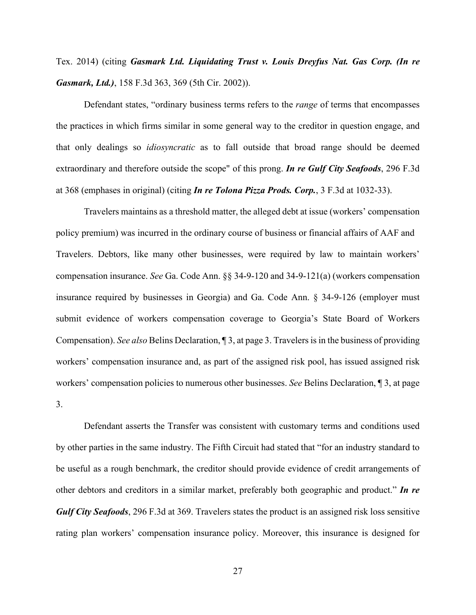Tex. 2014) (citing *Gasmark Ltd. Liquidating Trust v. Louis Dreyfus Nat. Gas Corp. (In re Gasmark, Ltd.)*, 158 F.3d 363, 369 (5th Cir. 2002)).

Defendant states, "ordinary business terms refers to the *range* of terms that encompasses the practices in which firms similar in some general way to the creditor in question engage, and that only dealings so *idiosyncratic* as to fall outside that broad range should be deemed extraordinary and therefore outside the scope" of this prong. *In re Gulf City Seafoods*, 296 F.3d at 368 (emphases in original) (citing *In re Tolona Pizza Prods. Corp.*, 3 F.3d at 1032-33).

Travelers maintains as a threshold matter, the alleged debt at issue (workers' compensation policy premium) was incurred in the ordinary course of business or financial affairs of AAF and Travelers. Debtors, like many other businesses, were required by law to maintain workers' compensation insurance. *See* Ga. Code Ann. §§ 34-9-120 and 34-9-121(a) (workers compensation insurance required by businesses in Georgia) and Ga. Code Ann. § 34-9-126 (employer must submit evidence of workers compensation coverage to Georgia's State Board of Workers Compensation). *See also* Belins Declaration, ¶ 3, at page 3. Travelers is in the business of providing workers' compensation insurance and, as part of the assigned risk pool, has issued assigned risk workers' compensation policies to numerous other businesses. *See* Belins Declaration, ¶ 3, at page 3.

Defendant asserts the Transfer was consistent with customary terms and conditions used by other parties in the same industry. The Fifth Circuit had stated that "for an industry standard to be useful as a rough benchmark, the creditor should provide evidence of credit arrangements of other debtors and creditors in a similar market, preferably both geographic and product." *In re Gulf City Seafoods*, 296 F.3d at 369. Travelers states the product is an assigned risk loss sensitive rating plan workers' compensation insurance policy. Moreover, this insurance is designed for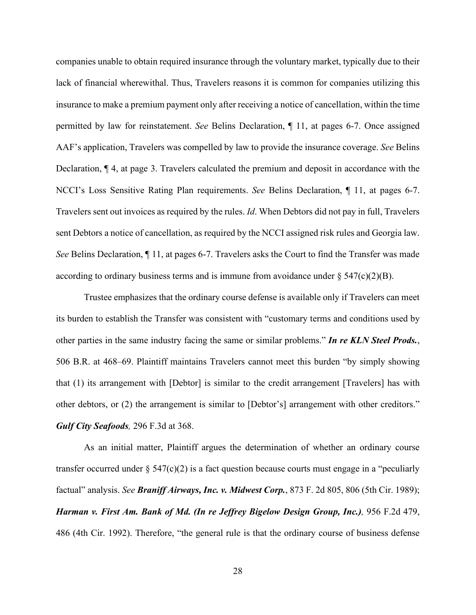companies unable to obtain required insurance through the voluntary market, typically due to their lack of financial wherewithal. Thus, Travelers reasons it is common for companies utilizing this insurance to make a premium payment only after receiving a notice of cancellation, within the time permitted by law for reinstatement. *See* Belins Declaration, ¶ 11, at pages 6-7. Once assigned AAF's application, Travelers was compelled by law to provide the insurance coverage. *See* Belins Declaration, ¶ 4, at page 3. Travelers calculated the premium and deposit in accordance with the NCCI's Loss Sensitive Rating Plan requirements. *See* Belins Declaration, ¶ 11, at pages 6-7. Travelers sent out invoices as required by the rules. *Id*. When Debtors did not pay in full, Travelers sent Debtors a notice of cancellation, as required by the NCCI assigned risk rules and Georgia law. *See* Belins Declaration, ¶ 11, at pages 6-7. Travelers asks the Court to find the Transfer was made according to ordinary business terms and is immune from avoidance under  $\S 547(c)(2)(B)$ .

Trustee emphasizes that the ordinary course defense is available only if Travelers can meet its burden to establish the Transfer was consistent with "customary terms and conditions used by other parties in the same industry facing the same or similar problems." *In re KLN Steel Prods.*, 506 B.R. at 468–69. Plaintiff maintains Travelers cannot meet this burden "by simply showing that (1) its arrangement with [Debtor] is similar to the credit arrangement [Travelers] has with other debtors, or (2) the arrangement is similar to [Debtor's] arrangement with other creditors." *Gulf City Seafoods,* 296 F.3d at 368.

As an initial matter, Plaintiff argues the determination of whether an ordinary course transfer occurred under  $\S 547(c)(2)$  is a fact question because courts must engage in a "peculiarly factual" analysis. *See Braniff Airways, Inc. v. Midwest Corp.*, 873 F. 2d 805, 806 (5th Cir. 1989); *Harman v. First Am. Bank of Md. (In re Jeffrey Bigelow Design Group, Inc.),* 956 F.2d 479, 486 (4th Cir. 1992). Therefore, "the general rule is that the ordinary course of business defense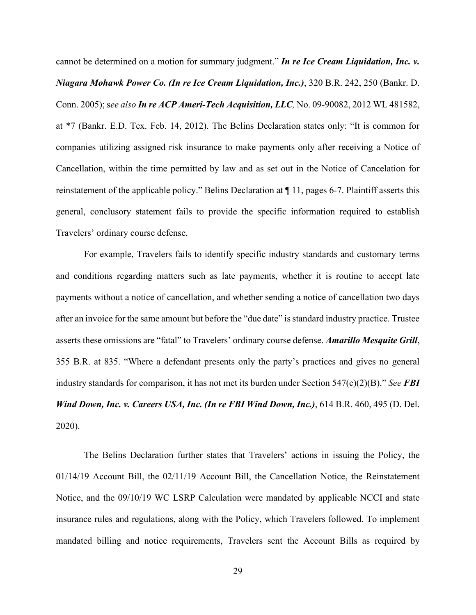cannot be determined on a motion for summary judgment." *In re Ice Cream Liquidation, Inc. v. Niagara Mohawk Power Co. (In re Ice Cream Liquidation, Inc.)*, 320 B.R. 242, 250 (Bankr. D. Conn. 2005); s*ee also In re ACP Ameri-Tech Acquisition, LLC,* No. 09-90082, 2012 WL 481582, at \*7 (Bankr. E.D. Tex. Feb. 14, 2012). The Belins Declaration states only: "It is common for companies utilizing assigned risk insurance to make payments only after receiving a Notice of Cancellation, within the time permitted by law and as set out in the Notice of Cancelation for reinstatement of the applicable policy." Belins Declaration at ¶ 11, pages 6-7. Plaintiff asserts this general, conclusory statement fails to provide the specific information required to establish Travelers' ordinary course defense.

For example, Travelers fails to identify specific industry standards and customary terms and conditions regarding matters such as late payments, whether it is routine to accept late payments without a notice of cancellation, and whether sending a notice of cancellation two days after an invoice for the same amount but before the "due date" is standard industry practice. Trustee asserts these omissions are "fatal" to Travelers' ordinary course defense. *Amarillo Mesquite Grill*, 355 B.R. at 835. "Where a defendant presents only the party's practices and gives no general industry standards for comparison, it has not met its burden under Section 547(c)(2)(B)." *See FBI Wind Down, Inc. v. Careers USA, Inc. (In re FBI Wind Down, Inc.)*, 614 B.R. 460, 495 (D. Del. 2020).

The Belins Declaration further states that Travelers' actions in issuing the Policy, the 01/14/19 Account Bill, the 02/11/19 Account Bill, the Cancellation Notice, the Reinstatement Notice, and the 09/10/19 WC LSRP Calculation were mandated by applicable NCCI and state insurance rules and regulations, along with the Policy, which Travelers followed. To implement mandated billing and notice requirements, Travelers sent the Account Bills as required by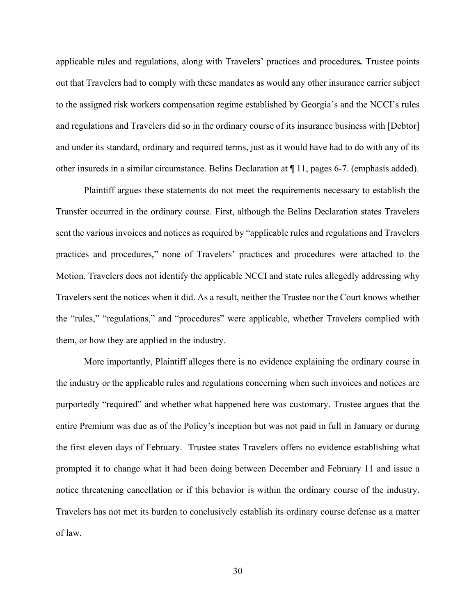applicable rules and regulations, along with Travelers' practices and procedures*.* Trustee points out that Travelers had to comply with these mandates as would any other insurance carrier subject to the assigned risk workers compensation regime established by Georgia's and the NCCI's rules and regulations and Travelers did so in the ordinary course of its insurance business with [Debtor] and under its standard, ordinary and required terms, just as it would have had to do with any of its other insureds in a similar circumstance. Belins Declaration at ¶ 11, pages 6-7. (emphasis added).

Plaintiff argues these statements do not meet the requirements necessary to establish the Transfer occurred in the ordinary course. First, although the Belins Declaration states Travelers sent the various invoices and notices as required by "applicable rules and regulations and Travelers practices and procedures," none of Travelers' practices and procedures were attached to the Motion. Travelers does not identify the applicable NCCI and state rules allegedly addressing why Travelers sent the notices when it did. As a result, neither the Trustee nor the Court knows whether the "rules," "regulations," and "procedures" were applicable, whether Travelers complied with them, or how they are applied in the industry.

More importantly, Plaintiff alleges there is no evidence explaining the ordinary course in the industry or the applicable rules and regulations concerning when such invoices and notices are purportedly "required" and whether what happened here was customary. Trustee argues that the entire Premium was due as of the Policy's inception but was not paid in full in January or during the first eleven days of February. Trustee states Travelers offers no evidence establishing what prompted it to change what it had been doing between December and February 11 and issue a notice threatening cancellation or if this behavior is within the ordinary course of the industry. Travelers has not met its burden to conclusively establish its ordinary course defense as a matter of law.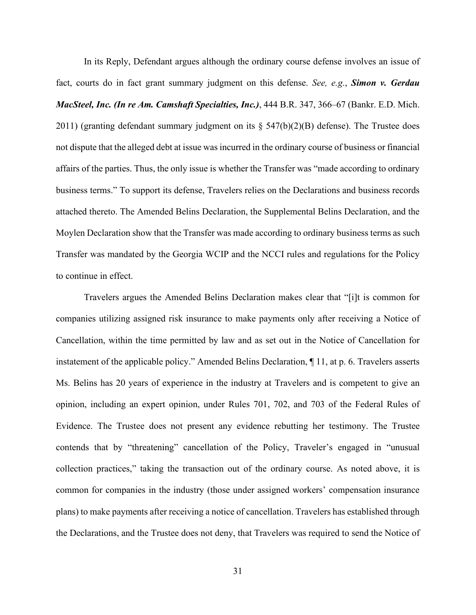In its Reply, Defendant argues although the ordinary course defense involves an issue of fact, courts do in fact grant summary judgment on this defense. *See, e.g.*, *Simon v. Gerdau MacSteel, Inc. (In re Am. Camshaft Specialties, Inc.)*, 444 B.R. 347, 366–67 (Bankr. E.D. Mich. 2011) (granting defendant summary judgment on its  $\S$  547(b)(2)(B) defense). The Trustee does not dispute that the alleged debt at issue was incurred in the ordinary course of business or financial affairs of the parties. Thus, the only issue is whether the Transfer was "made according to ordinary business terms." To support its defense, Travelers relies on the Declarations and business records attached thereto. The Amended Belins Declaration, the Supplemental Belins Declaration, and the Moylen Declaration show that the Transfer was made according to ordinary business terms as such Transfer was mandated by the Georgia WCIP and the NCCI rules and regulations for the Policy to continue in effect.

Travelers argues the Amended Belins Declaration makes clear that "[i]t is common for companies utilizing assigned risk insurance to make payments only after receiving a Notice of Cancellation, within the time permitted by law and as set out in the Notice of Cancellation for instatement of the applicable policy." Amended Belins Declaration, ¶ 11, at p. 6. Travelers asserts Ms. Belins has 20 years of experience in the industry at Travelers and is competent to give an opinion, including an expert opinion, under Rules 701, 702, and 703 of the Federal Rules of Evidence. The Trustee does not present any evidence rebutting her testimony. The Trustee contends that by "threatening" cancellation of the Policy, Traveler's engaged in "unusual collection practices," taking the transaction out of the ordinary course. As noted above, it is common for companies in the industry (those under assigned workers' compensation insurance plans) to make payments after receiving a notice of cancellation. Travelers has established through the Declarations, and the Trustee does not deny, that Travelers was required to send the Notice of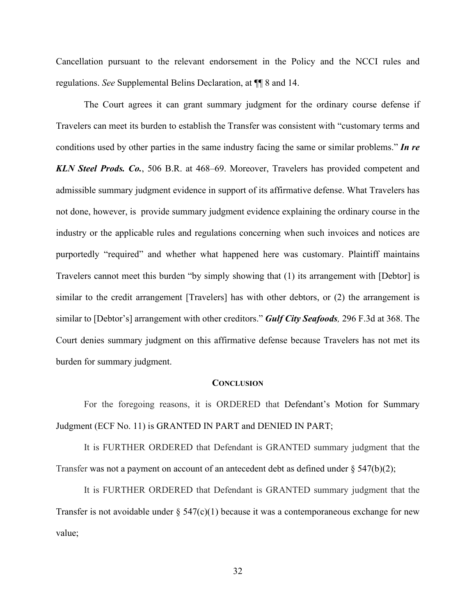Cancellation pursuant to the relevant endorsement in the Policy and the NCCI rules and regulations. *See* Supplemental Belins Declaration, at ¶¶ 8 and 14.

The Court agrees it can grant summary judgment for the ordinary course defense if Travelers can meet its burden to establish the Transfer was consistent with "customary terms and conditions used by other parties in the same industry facing the same or similar problems." *In re KLN Steel Prods. Co.*, 506 B.R. at 468–69. Moreover, Travelers has provided competent and admissible summary judgment evidence in support of its affirmative defense. What Travelers has not done, however, is provide summary judgment evidence explaining the ordinary course in the industry or the applicable rules and regulations concerning when such invoices and notices are purportedly "required" and whether what happened here was customary. Plaintiff maintains Travelers cannot meet this burden "by simply showing that (1) its arrangement with [Debtor] is similar to the credit arrangement [Travelers] has with other debtors, or (2) the arrangement is similar to [Debtor's] arrangement with other creditors." *Gulf City Seafoods,* 296 F.3d at 368. The Court denies summary judgment on this affirmative defense because Travelers has not met its burden for summary judgment.

#### **CONCLUSION**

For the foregoing reasons, it is ORDERED that Defendant's Motion for Summary Judgment (ECF No. 11) is GRANTED IN PART and DENIED IN PART;

It is FURTHER ORDERED that Defendant is GRANTED summary judgment that the Transfer was not a payment on account of an antecedent debt as defined under  $\S 547(b)(2)$ ;

It is FURTHER ORDERED that Defendant is GRANTED summary judgment that the Transfer is not avoidable under  $\S$  547(c)(1) because it was a contemporaneous exchange for new value;